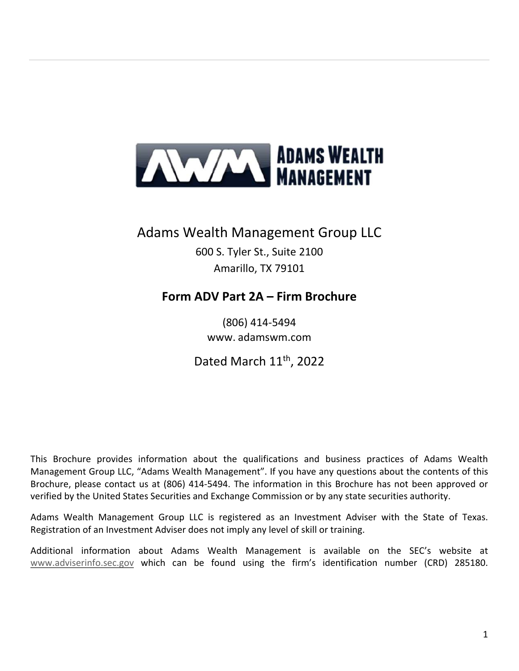

### Adams Wealth Management Group LLC

600 S. Tyler St., Suite 2100 Amarillo, TX 79101

### **Form ADV Part 2A – Firm Brochure**

(806) 414‐5494 www. adamswm.com

Dated March 11<sup>th</sup>, 2022

This Brochure provides information about the qualifications and business practices of Adams Wealth Management Group LLC, "Adams Wealth Management". If you have any questions about the contents of this Brochure, please contact us at (806) 414‐5494. The information in this Brochure has not been approved or verified by the United States Securities and Exchange Commission or by any state securities authority.

Adams Wealth Management Group LLC is registered as an Investment Adviser with the State of Texas. Registration of an Investment Adviser does not imply any level of skill or training.

Additional information about Adams Wealth Management is available on the SEC's website at www.adviserinfo.sec.gov which can be found using the firm's identification number (CRD) 285180.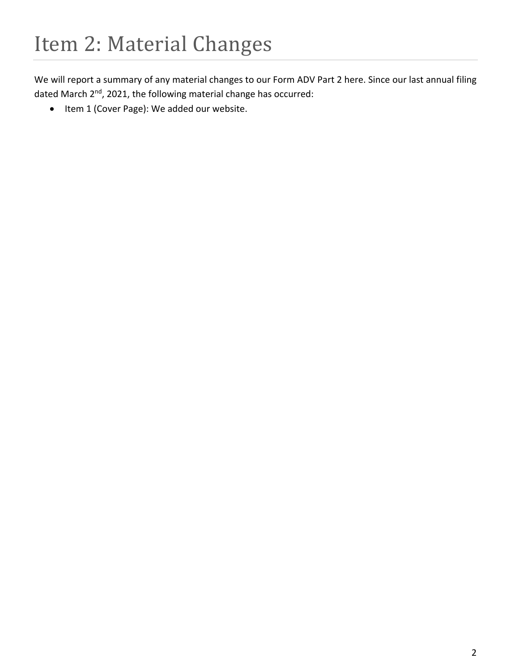We will report a summary of any material changes to our Form ADV Part 2 here. Since our last annual filing dated March 2<sup>nd</sup>, 2021, the following material change has occurred:

• Item 1 (Cover Page): We added our website.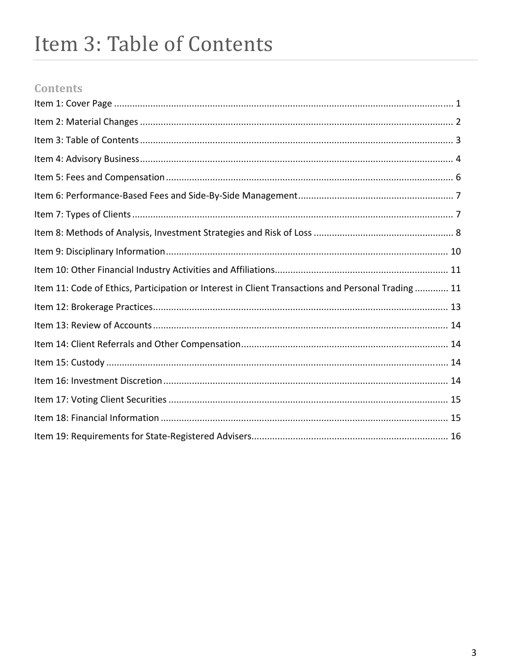# Item 3: Table of Contents

#### **Contents**

| Item 11: Code of Ethics, Participation or Interest in Client Transactions and Personal Trading 11 |
|---------------------------------------------------------------------------------------------------|
|                                                                                                   |
|                                                                                                   |
|                                                                                                   |
|                                                                                                   |
|                                                                                                   |
|                                                                                                   |
|                                                                                                   |
|                                                                                                   |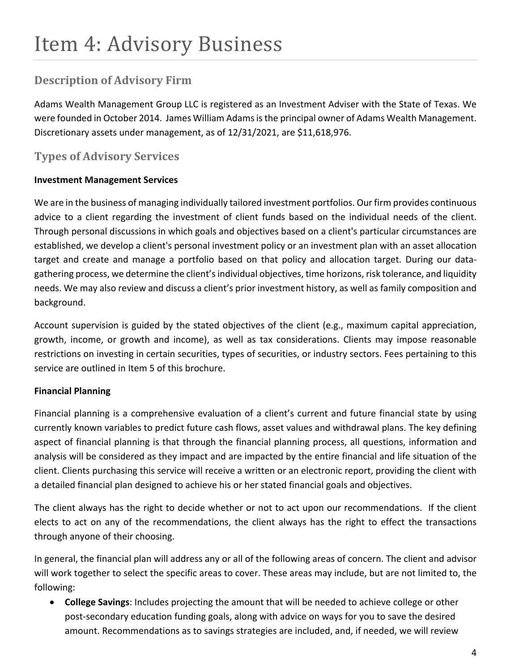### **Description of Advisory Firm**

Adams Wealth Management Group LLC is registered as an Investment Adviser with the State of Texas. We were founded in October 2014. James William Adamsisthe principal owner of Adams Wealth Management. Discretionary assets under management, as of 12/31/2021, are \$11,618,976.

### **Types of Advisory Services**

#### **Investment Management Services**

We are in the business of managing individually tailored investment portfolios. Our firm provides continuous advice to a client regarding the investment of client funds based on the individual needs of the client. Through personal discussions in which goals and objectives based on a client's particular circumstances are established, we develop a client's personal investment policy or an investment plan with an asset allocation target and create and manage a portfolio based on that policy and allocation target. During our data‐ gathering process, we determine the client'sindividual objectives, time horizons, risk tolerance, and liquidity needs. We may also review and discuss a client's prior investment history, as well as family composition and background.

Account supervision is guided by the stated objectives of the client (e.g., maximum capital appreciation, growth, income, or growth and income), as well as tax considerations. Clients may impose reasonable restrictions on investing in certain securities, types of securities, or industry sectors. Fees pertaining to this service are outlined in Item 5 of this brochure.

#### **Financial Planning**

Financial planning is a comprehensive evaluation of a client's current and future financial state by using currently known variables to predict future cash flows, asset values and withdrawal plans. The key defining aspect of financial planning is that through the financial planning process, all questions, information and analysis will be considered as they impact and are impacted by the entire financial and life situation of the client. Clients purchasing this service will receive a written or an electronic report, providing the client with a detailed financial plan designed to achieve his or her stated financial goals and objectives.

The client always has the right to decide whether or not to act upon our recommendations. If the client elects to act on any of the recommendations, the client always has the right to effect the transactions through anyone of their choosing.

In general, the financial plan will address any or all of the following areas of concern. The client and advisor will work together to select the specific areas to cover. These areas may include, but are not limited to, the following:

 **College Savings**: Includes projecting the amount that will be needed to achieve college or other post‐secondary education funding goals, along with advice on ways for you to save the desired amount. Recommendations as to savings strategies are included, and, if needed, we will review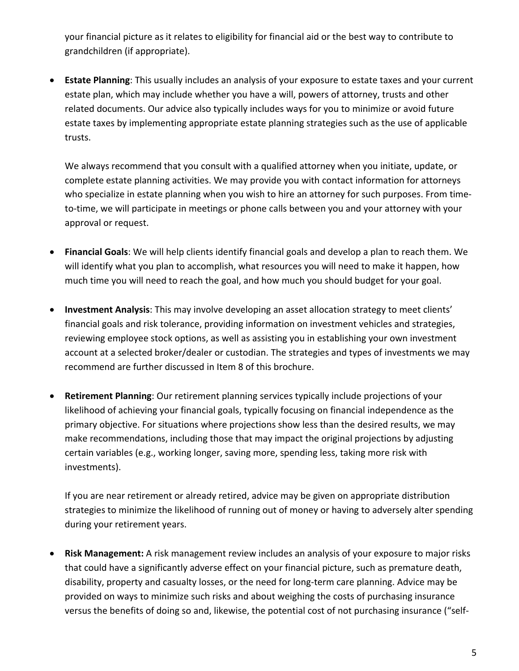your financial picture as it relates to eligibility for financial aid or the best way to contribute to grandchildren (if appropriate).

 **Estate Planning**: This usually includes an analysis of your exposure to estate taxes and your current estate plan, which may include whether you have a will, powers of attorney, trusts and other related documents. Our advice also typically includes ways for you to minimize or avoid future estate taxes by implementing appropriate estate planning strategies such as the use of applicable trusts.

We always recommend that you consult with a qualified attorney when you initiate, update, or complete estate planning activities. We may provide you with contact information for attorneys who specialize in estate planning when you wish to hire an attorney for such purposes. From timeto-time, we will participate in meetings or phone calls between you and your attorney with your approval or request.

- **Financial Goals**: We will help clients identify financial goals and develop a plan to reach them. We will identify what you plan to accomplish, what resources you will need to make it happen, how much time you will need to reach the goal, and how much you should budget for your goal.
- **Investment Analysis**: This may involve developing an asset allocation strategy to meet clients' financial goals and risk tolerance, providing information on investment vehicles and strategies, reviewing employee stock options, as well as assisting you in establishing your own investment account at a selected broker/dealer or custodian. The strategies and types of investments we may recommend are further discussed in Item 8 of this brochure.
- **Retirement Planning**: Our retirement planning services typically include projections of your likelihood of achieving your financial goals, typically focusing on financial independence as the primary objective. For situations where projections show less than the desired results, we may make recommendations, including those that may impact the original projections by adjusting certain variables (e.g., working longer, saving more, spending less, taking more risk with investments).

If you are near retirement or already retired, advice may be given on appropriate distribution strategies to minimize the likelihood of running out of money or having to adversely alter spending during your retirement years.

 **Risk Management:** A risk management review includes an analysis of your exposure to major risks that could have a significantly adverse effect on your financial picture, such as premature death, disability, property and casualty losses, or the need for long‐term care planning. Advice may be provided on ways to minimize such risks and about weighing the costs of purchasing insurance versus the benefits of doing so and, likewise, the potential cost of not purchasing insurance ("self‐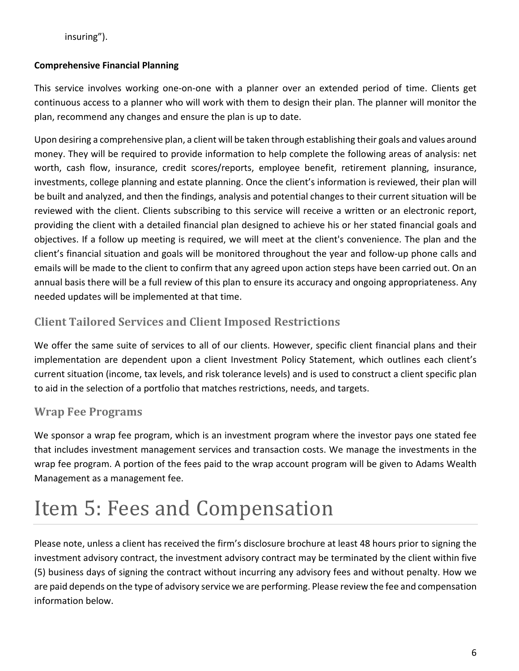insuring").

#### **Comprehensive Financial Planning**

This service involves working one‐on‐one with a planner over an extended period of time. Clients get continuous access to a planner who will work with them to design their plan. The planner will monitor the plan, recommend any changes and ensure the plan is up to date.

Upon desiring a comprehensive plan, a client will be taken through establishing their goals and values around money. They will be required to provide information to help complete the following areas of analysis: net worth, cash flow, insurance, credit scores/reports, employee benefit, retirement planning, insurance, investments, college planning and estate planning. Once the client's information is reviewed, their plan will be built and analyzed, and then the findings, analysis and potential changes to their current situation will be reviewed with the client. Clients subscribing to this service will receive a written or an electronic report, providing the client with a detailed financial plan designed to achieve his or her stated financial goals and objectives. If a follow up meeting is required, we will meet at the client's convenience. The plan and the client's financial situation and goals will be monitored throughout the year and follow‐up phone calls and emails will be made to the client to confirm that any agreed upon action steps have been carried out. On an annual basis there will be a full review of this plan to ensure its accuracy and ongoing appropriateness. Any needed updates will be implemented at that time.

### **Client Tailored Services and Client Imposed Restrictions**

We offer the same suite of services to all of our clients. However, specific client financial plans and their implementation are dependent upon a client Investment Policy Statement, which outlines each client's current situation (income, tax levels, and risk tolerance levels) and is used to construct a client specific plan to aid in the selection of a portfolio that matches restrictions, needs, and targets.

#### **Wrap Fee Programs**

We sponsor a wrap fee program, which is an investment program where the investor pays one stated fee that includes investment management services and transaction costs. We manage the investments in the wrap fee program. A portion of the fees paid to the wrap account program will be given to Adams Wealth Management as a management fee.

## Item 5: Fees and Compensation

Please note, unless a client has received the firm's disclosure brochure at least 48 hours prior to signing the investment advisory contract, the investment advisory contract may be terminated by the client within five (5) business days of signing the contract without incurring any advisory fees and without penalty. How we are paid depends on the type of advisory service we are performing. Please review the fee and compensation information below.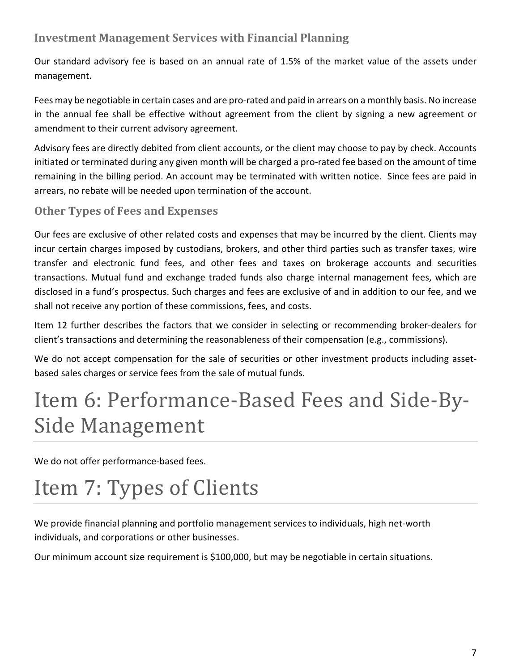#### **Investment Management Services with Financial Planning**

Our standard advisory fee is based on an annual rate of 1.5% of the market value of the assets under management.

Fees may be negotiable in certain cases and are pro‐rated and paid in arrears on a monthly basis. No increase in the annual fee shall be effective without agreement from the client by signing a new agreement or amendment to their current advisory agreement.

Advisory fees are directly debited from client accounts, or the client may choose to pay by check. Accounts initiated or terminated during any given month will be charged a pro-rated fee based on the amount of time remaining in the billing period. An account may be terminated with written notice. Since fees are paid in arrears, no rebate will be needed upon termination of the account.

#### **Other Types of Fees and Expenses**

Our fees are exclusive of other related costs and expenses that may be incurred by the client. Clients may incur certain charges imposed by custodians, brokers, and other third parties such as transfer taxes, wire transfer and electronic fund fees, and other fees and taxes on brokerage accounts and securities transactions. Mutual fund and exchange traded funds also charge internal management fees, which are disclosed in a fund's prospectus. Such charges and fees are exclusive of and in addition to our fee, and we shall not receive any portion of these commissions, fees, and costs.

Item 12 further describes the factors that we consider in selecting or recommending broker‐dealers for client's transactions and determining the reasonableness of their compensation (e.g., commissions).

We do not accept compensation for the sale of securities or other investment products including assetbased sales charges or service fees from the sale of mutual funds.

### Item 6: Performance-Based Fees and Side-By-Side Management

We do not offer performance-based fees.

## Item 7: Types of Clients

We provide financial planning and portfolio management services to individuals, high net-worth individuals, and corporations or other businesses.

Our minimum account size requirement is \$100,000, but may be negotiable in certain situations.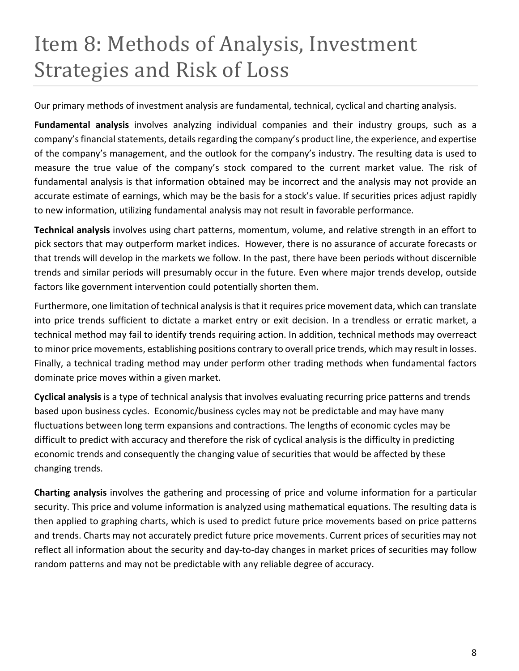## Item 8: Methods of Analysis, Investment Strategies and Risk of Loss

Our primary methods of investment analysis are fundamental, technical, cyclical and charting analysis.

**Fundamental analysis** involves analyzing individual companies and their industry groups, such as a company's financial statements, details regarding the company's product line, the experience, and expertise of the company's management, and the outlook for the company's industry. The resulting data is used to measure the true value of the company's stock compared to the current market value. The risk of fundamental analysis is that information obtained may be incorrect and the analysis may not provide an accurate estimate of earnings, which may be the basis for a stock's value. If securities prices adjust rapidly to new information, utilizing fundamental analysis may not result in favorable performance.

**Technical analysis** involves using chart patterns, momentum, volume, and relative strength in an effort to pick sectors that may outperform market indices. However, there is no assurance of accurate forecasts or that trends will develop in the markets we follow. In the past, there have been periods without discernible trends and similar periods will presumably occur in the future. Even where major trends develop, outside factors like government intervention could potentially shorten them.

Furthermore, one limitation of technical analysis is that it requires price movement data, which can translate into price trends sufficient to dictate a market entry or exit decision. In a trendless or erratic market, a technical method may fail to identify trends requiring action. In addition, technical methods may overreact to minor price movements, establishing positions contrary to overall price trends, which may result in losses. Finally, a technical trading method may under perform other trading methods when fundamental factors dominate price moves within a given market.

**Cyclical analysis** is a type of technical analysis that involves evaluating recurring price patterns and trends based upon business cycles. Economic/business cycles may not be predictable and may have many fluctuations between long term expansions and contractions. The lengths of economic cycles may be difficult to predict with accuracy and therefore the risk of cyclical analysis is the difficulty in predicting economic trends and consequently the changing value of securities that would be affected by these changing trends.

**Charting analysis** involves the gathering and processing of price and volume information for a particular security. This price and volume information is analyzed using mathematical equations. The resulting data is then applied to graphing charts, which is used to predict future price movements based on price patterns and trends. Charts may not accurately predict future price movements. Current prices of securities may not reflect all information about the security and day-to-day changes in market prices of securities may follow random patterns and may not be predictable with any reliable degree of accuracy.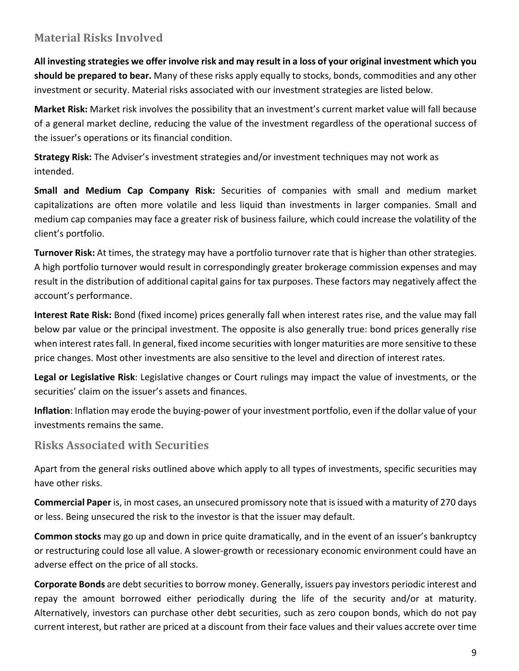#### **Material Risks Involved**

All investing strategies we offer involve risk and may result in a loss of your original investment which you **should be prepared to bear.** Many of these risks apply equally to stocks, bonds, commodities and any other investment or security. Material risks associated with our investment strategies are listed below.

**Market Risk:** Market risk involves the possibility that an investment's current market value will fall because of a general market decline, reducing the value of the investment regardless of the operational success of the issuer's operations or its financial condition.

**Strategy Risk:** The Adviser's investment strategies and/or investment techniques may not work as intended.

**Small and Medium Cap Company Risk:** Securities of companies with small and medium market capitalizations are often more volatile and less liquid than investments in larger companies. Small and medium cap companies may face a greater risk of business failure, which could increase the volatility of the client's portfolio.

**Turnover Risk:** At times, the strategy may have a portfolio turnover rate that is higher than other strategies. A high portfolio turnover would result in correspondingly greater brokerage commission expenses and may result in the distribution of additional capital gains for tax purposes. These factors may negatively affect the account's performance.

**Interest Rate Risk:** Bond (fixed income) prices generally fall when interest rates rise, and the value may fall below par value or the principal investment. The opposite is also generally true: bond prices generally rise when interest ratesfall. In general, fixed income securities with longer maturities are more sensitive to these price changes. Most other investments are also sensitive to the level and direction of interest rates.

**Legal or Legislative Risk**: Legislative changes or Court rulings may impact the value of investments, or the securities' claim on the issuer's assets and finances.

**Inflation**: Inflation may erode the buying‐power of your investment portfolio, even if the dollar value of your investments remains the same.

**Risks Associated with Securities**

Apart from the general risks outlined above which apply to all types of investments, specific securities may have other risks.

**Commercial Paper** is, in most cases, an unsecured promissory note that isissued with a maturity of 270 days or less. Being unsecured the risk to the investor is that the issuer may default.

**Common stocks** may go up and down in price quite dramatically, and in the event of an issuer's bankruptcy or restructuring could lose all value. A slower‐growth or recessionary economic environment could have an adverse effect on the price of all stocks.

Corporate Bonds are debt securities to borrow money. Generally, issuers pay investors periodic interest and repay the amount borrowed either periodically during the life of the security and/or at maturity. Alternatively, investors can purchase other debt securities, such as zero coupon bonds, which do not pay current interest, but rather are priced at a discount from their face values and their values accrete over time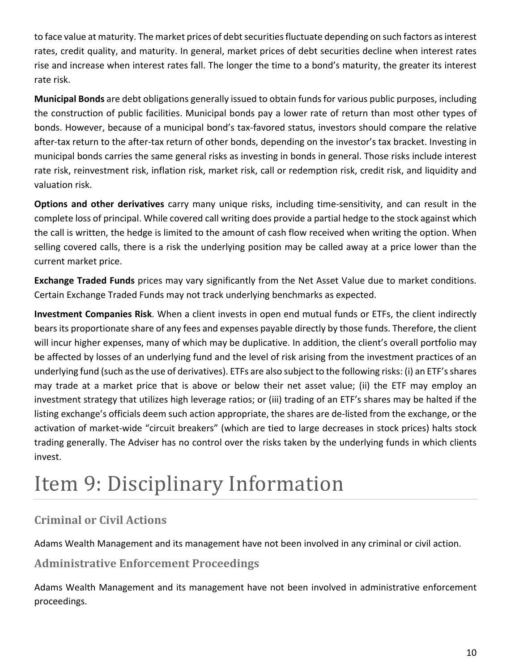to face value at maturity. The market prices of debt securities fluctuate depending on such factors as interest rates, credit quality, and maturity. In general, market prices of debt securities decline when interest rates rise and increase when interest rates fall. The longer the time to a bond's maturity, the greater its interest rate risk.

**Municipal Bonds** are debt obligations generally issued to obtain funds for various public purposes, including the construction of public facilities. Municipal bonds pay a lower rate of return than most other types of bonds. However, because of a municipal bond's tax‐favored status, investors should compare the relative after-tax return to the after-tax return of other bonds, depending on the investor's tax bracket. Investing in municipal bonds carries the same general risks as investing in bonds in general. Those risks include interest rate risk, reinvestment risk, inflation risk, market risk, call or redemption risk, credit risk, and liquidity and valuation risk.

**Options and other derivatives** carry many unique risks, including time‐sensitivity, and can result in the complete loss of principal. While covered call writing does provide a partial hedge to the stock against which the call is written, the hedge is limited to the amount of cash flow received when writing the option. When selling covered calls, there is a risk the underlying position may be called away at a price lower than the current market price.

**Exchange Traded Funds** prices may vary significantly from the Net Asset Value due to market conditions. Certain Exchange Traded Funds may not track underlying benchmarks as expected.

**Investment Companies Risk**. When a client invests in open end mutual funds or ETFs, the client indirectly bears its proportionate share of any fees and expenses payable directly by those funds. Therefore, the client will incur higher expenses, many of which may be duplicative. In addition, the client's overall portfolio may be affected by losses of an underlying fund and the level of risk arising from the investment practices of an underlying fund (such as the use of derivatives). ETFs are also subject to the following risks: (i) an ETF's shares may trade at a market price that is above or below their net asset value; (ii) the ETF may employ an investment strategy that utilizes high leverage ratios; or (iii) trading of an ETF's shares may be halted if the listing exchange's officials deem such action appropriate, the shares are de‐listed from the exchange, or the activation of market-wide "circuit breakers" (which are tied to large decreases in stock prices) halts stock trading generally. The Adviser has no control over the risks taken by the underlying funds in which clients invest.

## Item 9: Disciplinary Information

### **Criminal or Civil Actions**

Adams Wealth Management and its management have not been involved in any criminal or civil action.

#### **Administrative Enforcement Proceedings**

Adams Wealth Management and its management have not been involved in administrative enforcement proceedings.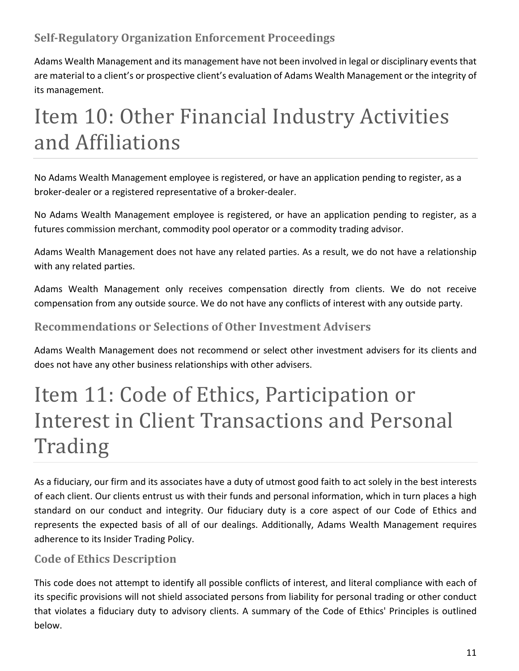### **Self‐Regulatory Organization Enforcement Proceedings**

Adams Wealth Management and its management have not been involved in legal or disciplinary events that are material to a client's or prospective client's evaluation of Adams Wealth Management or the integrity of its management.

## Item 10: Other Financial Industry Activities and Affiliations

No Adams Wealth Management employee is registered, or have an application pending to register, as a broker‐dealer or a registered representative of a broker‐dealer.

No Adams Wealth Management employee is registered, or have an application pending to register, as a futures commission merchant, commodity pool operator or a commodity trading advisor.

Adams Wealth Management does not have any related parties. As a result, we do not have a relationship with any related parties.

Adams Wealth Management only receives compensation directly from clients. We do not receive compensation from any outside source. We do not have any conflicts of interest with any outside party.

#### **Recommendations or Selections of Other Investment Advisers**

Adams Wealth Management does not recommend or select other investment advisers for its clients and does not have any other business relationships with other advisers.

### Item 11: Code of Ethics, Participation or Interest in Client Transactions and Personal Trading

As a fiduciary, our firm and its associates have a duty of utmost good faith to act solely in the best interests of each client. Our clients entrust us with their funds and personal information, which in turn places a high standard on our conduct and integrity. Our fiduciary duty is a core aspect of our Code of Ethics and represents the expected basis of all of our dealings. Additionally, Adams Wealth Management requires adherence to its Insider Trading Policy.

#### **Code of Ethics Description**

This code does not attempt to identify all possible conflicts of interest, and literal compliance with each of its specific provisions will not shield associated persons from liability for personal trading or other conduct that violates a fiduciary duty to advisory clients. A summary of the Code of Ethics' Principles is outlined below.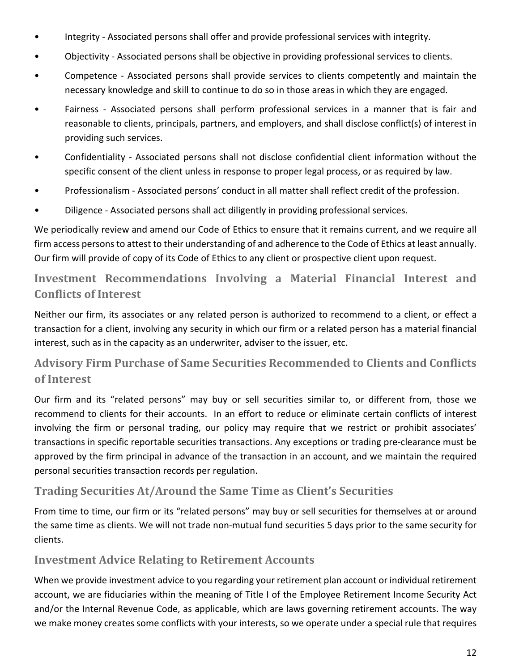- Integrity Associated persons shall offer and provide professional services with integrity.
- Objectivity Associated persons shall be objective in providing professional services to clients.
- Competence Associated persons shall provide services to clients competently and maintain the necessary knowledge and skill to continue to do so in those areas in which they are engaged.
- Fairness Associated persons shall perform professional services in a manner that is fair and reasonable to clients, principals, partners, and employers, and shall disclose conflict(s) of interest in providing such services.
- Confidentiality Associated persons shall not disclose confidential client information without the specific consent of the client unless in response to proper legal process, or as required by law.
- Professionalism Associated persons' conduct in all matter shall reflect credit of the profession.
- Diligence Associated persons shall act diligently in providing professional services.

We periodically review and amend our Code of Ethics to ensure that it remains current, and we require all firm access persons to attest to their understanding of and adherence to the Code of Ethics at least annually. Our firm will provide of copy of its Code of Ethics to any client or prospective client upon request.

### **Investment Recommendations Involving a Material Financial Interest and Conflicts of Interest**

Neither our firm, its associates or any related person is authorized to recommend to a client, or effect a transaction for a client, involving any security in which our firm or a related person has a material financial interest, such as in the capacity as an underwriter, adviser to the issuer, etc.

### **Advisory Firm Purchase of Same Securities Recommended to Clients and Conflicts of Interest**

Our firm and its "related persons" may buy or sell securities similar to, or different from, those we recommend to clients for their accounts. In an effort to reduce or eliminate certain conflicts of interest involving the firm or personal trading, our policy may require that we restrict or prohibit associates' transactions in specific reportable securities transactions. Any exceptions or trading pre‐clearance must be approved by the firm principal in advance of the transaction in an account, and we maintain the required personal securities transaction records per regulation.

### **Trading Securities At/Around the Same Time as Client's Securities**

From time to time, our firm or its "related persons" may buy or sell securities for themselves at or around the same time as clients. We will not trade non‐mutual fund securities 5 days prior to the same security for clients.

#### **Investment Advice Relating to Retirement Accounts**

When we provide investment advice to you regarding your retirement plan account or individual retirement account, we are fiduciaries within the meaning of Title I of the Employee Retirement Income Security Act and/or the Internal Revenue Code, as applicable, which are laws governing retirement accounts. The way we make money creates some conflicts with your interests, so we operate under a special rule that requires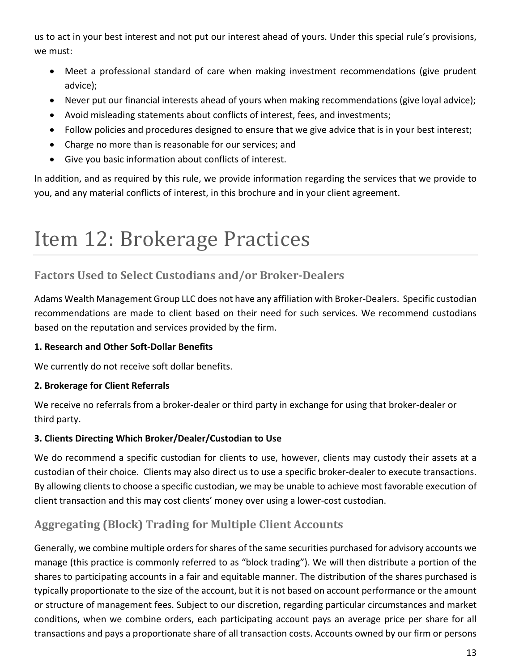us to act in your best interest and not put our interest ahead of yours. Under this special rule's provisions, we must:

- Meet a professional standard of care when making investment recommendations (give prudent advice);
- Never put our financial interests ahead of yours when making recommendations (give loyal advice);
- Avoid misleading statements about conflicts of interest, fees, and investments;
- Follow policies and procedures designed to ensure that we give advice that is in your best interest;
- Charge no more than is reasonable for our services; and
- Give you basic information about conflicts of interest.

In addition, and as required by this rule, we provide information regarding the services that we provide to you, and any material conflicts of interest, in this brochure and in your client agreement.

## Item 12: Brokerage Practices

### **Factors Used to Select Custodians and/or Broker‐Dealers**

Adams Wealth Management Group LLC does not have any affiliation with Broker‐Dealers. Specific custodian recommendations are made to client based on their need for such services. We recommend custodians based on the reputation and services provided by the firm.

#### **1. Research and Other Soft‐Dollar Benefits**

We currently do not receive soft dollar benefits.

#### **2. Brokerage for Client Referrals**

We receive no referrals from a broker‐dealer or third party in exchange for using that broker‐dealer or third party.

#### **3. Clients Directing Which Broker/Dealer/Custodian to Use**

We do recommend a specific custodian for clients to use, however, clients may custody their assets at a custodian of their choice. Clients may also direct us to use a specific broker‐dealer to execute transactions. By allowing clients to choose a specific custodian, we may be unable to achieve most favorable execution of client transaction and this may cost clients' money over using a lower‐cost custodian.

### **Aggregating (Block) Trading for Multiple Client Accounts**

Generally, we combine multiple ordersfor shares of the same securities purchased for advisory accounts we manage (this practice is commonly referred to as "block trading"). We will then distribute a portion of the shares to participating accounts in a fair and equitable manner. The distribution of the shares purchased is typically proportionate to the size of the account, but it is not based on account performance or the amount or structure of management fees. Subject to our discretion, regarding particular circumstances and market conditions, when we combine orders, each participating account pays an average price per share for all transactions and pays a proportionate share of all transaction costs. Accounts owned by our firm or persons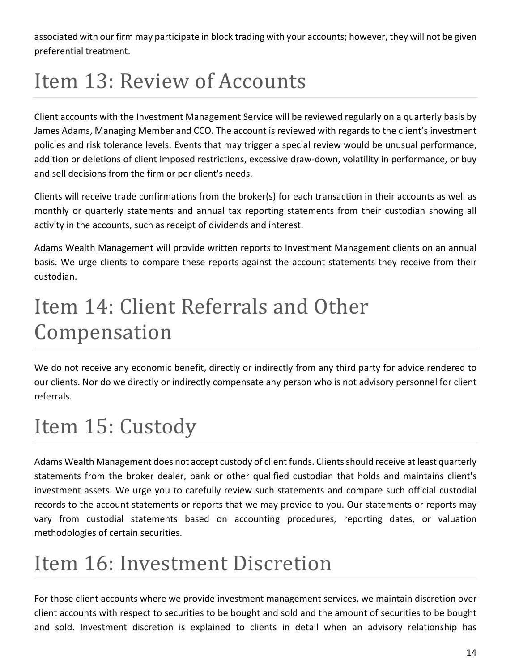associated with our firm may participate in block trading with your accounts; however, they will not be given preferential treatment.

# Item 13: Review of Accounts

Client accounts with the Investment Management Service will be reviewed regularly on a quarterly basis by James Adams, Managing Member and CCO. The account is reviewed with regards to the client's investment policies and risk tolerance levels. Events that may trigger a special review would be unusual performance, addition or deletions of client imposed restrictions, excessive draw‐down, volatility in performance, or buy and sell decisions from the firm or per client's needs.

Clients will receive trade confirmations from the broker(s) for each transaction in their accounts as well as monthly or quarterly statements and annual tax reporting statements from their custodian showing all activity in the accounts, such as receipt of dividends and interest.

Adams Wealth Management will provide written reports to Investment Management clients on an annual basis. We urge clients to compare these reports against the account statements they receive from their custodian.

## Item 14: Client Referrals and Other Compensation

We do not receive any economic benefit, directly or indirectly from any third party for advice rendered to our clients. Nor do we directly or indirectly compensate any person who is not advisory personnel for client referrals.

# Item 15: Custody

Adams Wealth Management does not accept custody of client funds. Clientsshould receive at least quarterly statements from the broker dealer, bank or other qualified custodian that holds and maintains client's investment assets. We urge you to carefully review such statements and compare such official custodial records to the account statements or reports that we may provide to you. Our statements or reports may vary from custodial statements based on accounting procedures, reporting dates, or valuation methodologies of certain securities.

## Item 16: Investment Discretion

For those client accounts where we provide investment management services, we maintain discretion over client accounts with respect to securities to be bought and sold and the amount of securities to be bought and sold. Investment discretion is explained to clients in detail when an advisory relationship has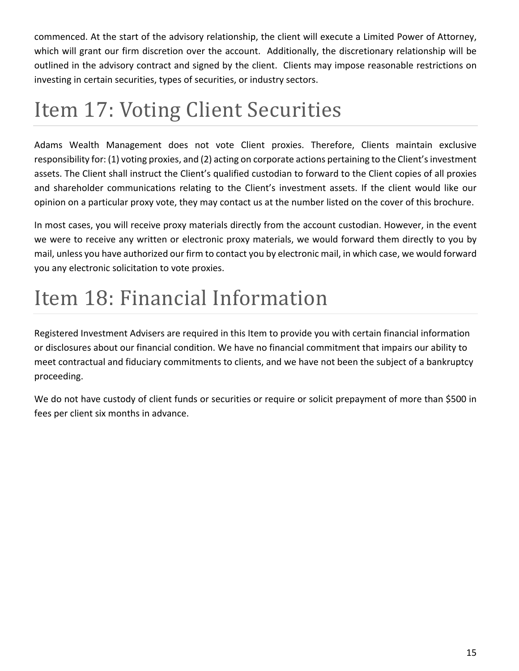commenced. At the start of the advisory relationship, the client will execute a Limited Power of Attorney, which will grant our firm discretion over the account. Additionally, the discretionary relationship will be outlined in the advisory contract and signed by the client. Clients may impose reasonable restrictions on investing in certain securities, types of securities, or industry sectors.

### Item 17: Voting Client Securities

Adams Wealth Management does not vote Client proxies. Therefore, Clients maintain exclusive responsibility for: (1) voting proxies, and (2) acting on corporate actions pertaining to the Client's investment assets. The Client shall instruct the Client's qualified custodian to forward to the Client copies of all proxies and shareholder communications relating to the Client's investment assets. If the client would like our opinion on a particular proxy vote, they may contact us at the number listed on the cover of this brochure.

In most cases, you will receive proxy materials directly from the account custodian. However, in the event we were to receive any written or electronic proxy materials, we would forward them directly to you by mail, unless you have authorized our firm to contact you by electronic mail, in which case, we would forward you any electronic solicitation to vote proxies.

## Item 18: Financial Information

Registered Investment Advisers are required in this Item to provide you with certain financial information or disclosures about our financial condition. We have no financial commitment that impairs our ability to meet contractual and fiduciary commitments to clients, and we have not been the subject of a bankruptcy proceeding.

We do not have custody of client funds or securities or require or solicit prepayment of more than \$500 in fees per client six months in advance.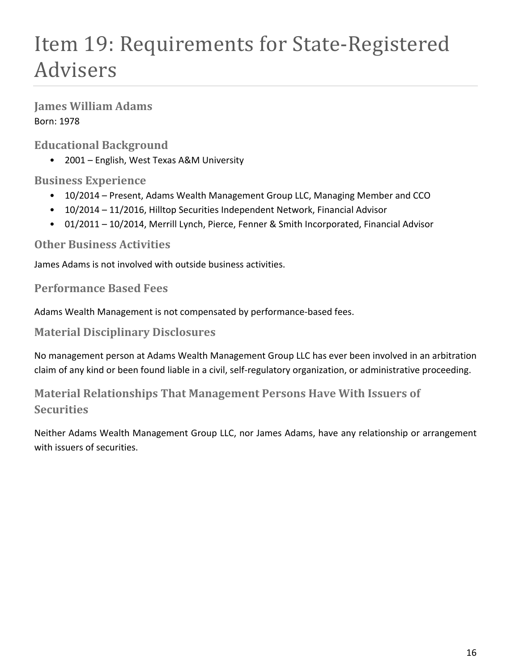## Item 19: Requirements for State-Registered Advisers

**James William Adams** Born: 1978

**Educational Background**

• 2001 – English, West Texas A&M University

**Business Experience**

- 10/2014 Present, Adams Wealth Management Group LLC, Managing Member and CCO
- 10/2014 11/2016, Hilltop Securities Independent Network, Financial Advisor
- 01/2011 10/2014, Merrill Lynch, Pierce, Fenner & Smith Incorporated, Financial Advisor

**Other Business Activities**

James Adams is not involved with outside business activities.

**Performance Based Fees**

Adams Wealth Management is not compensated by performance‐based fees.

**Material Disciplinary Disclosures**

No management person at Adams Wealth Management Group LLC has ever been involved in an arbitration claim of any kind or been found liable in a civil, self‐regulatory organization, or administrative proceeding.

**Material Relationships That Management Persons Have With Issuers of Securities**

Neither Adams Wealth Management Group LLC, nor James Adams, have any relationship or arrangement with issuers of securities.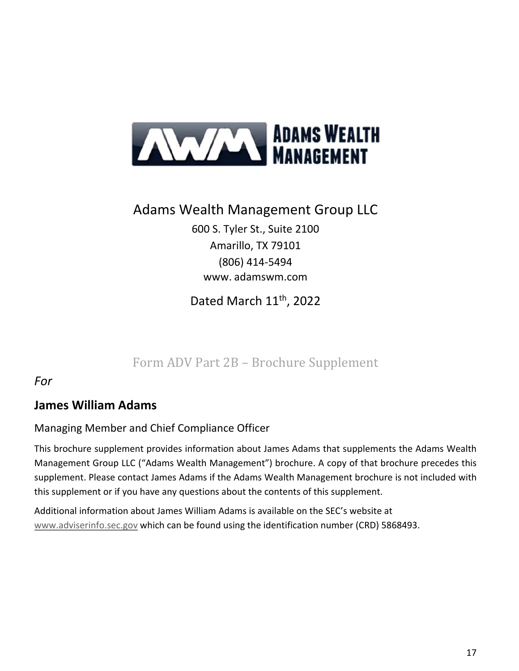

Adams Wealth Management Group LLC

600 S. Tyler St., Suite 2100 Amarillo, TX 79101 (806) 414‐5494 www. adamswm.com

Dated March 11<sup>th</sup>, 2022

### Form ADV Part 2B – Brochure Supplement

#### *For*

### **James William Adams**

#### Managing Member and Chief Compliance Officer

This brochure supplement provides information about James Adams that supplements the Adams Wealth Management Group LLC ("Adams Wealth Management") brochure. A copy of that brochure precedes this supplement. Please contact James Adams if the Adams Wealth Management brochure is not included with this supplement or if you have any questions about the contents of this supplement.

Additional information about James William Adams is available on the SEC's website at www.adviserinfo.sec.gov which can be found using the identification number (CRD) 5868493.